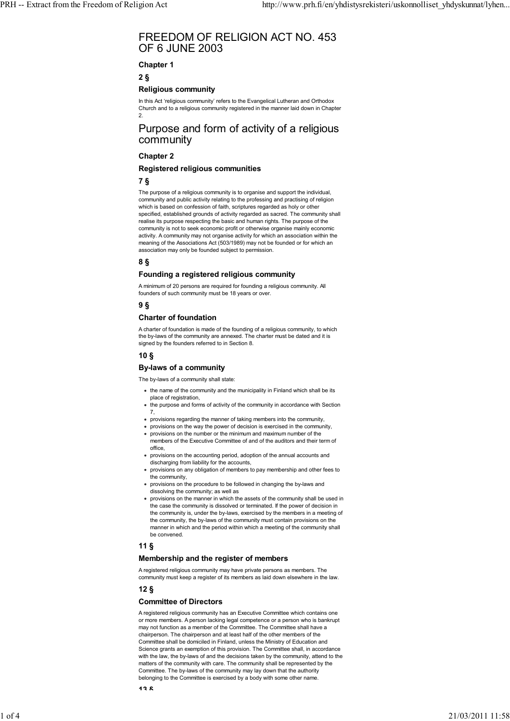# FREEDOM OF RELIGION ACT NO. 453 OF 6 JUNE 2003

# **Chapter 1**

**2 §**

## **Religious community**

In this Act 'religious community' refers to the Evangelical Lutheran and Orthodox Church and to a religious community registered in the manner laid down in Chapter 2.

# Purpose and form of activity of a religious community

## **Chapter 2**

## **Registered religious communities**

# **7 §**

The purpose of a religious community is to organise and support the individual, community and public activity relating to the professing and practising of religion which is based on confession of faith, scriptures regarded as holy or other specified, established grounds of activity regarded as sacred. The community shall realise its purpose respecting the basic and human rights. The purpose of the community is not to seek economic profit or otherwise organise mainly economic activity. A community may not organise activity for which an association within the meaning of the Associations Act (503/1989) may not be founded or for which an association may only be founded subject to permission.

# **8 §**

# **Founding a registered religious community**

A minimum of 20 persons are required for founding a religious community. All founders of such community must be 18 years or over.

# **9 §**

## **Charter of foundation**

A charter of foundation is made of the founding of a religious community, to which the by-laws of the community are annexed. The charter must be dated and it is signed by the founders referred to in Section 8.

# **10 §**

## **By-laws of a community**

The by-laws of a community shall state:

- the name of the community and the municipality in Finland which shall be its place of registration,
- the purpose and forms of activity of the community in accordance with Section 7,
- provisions regarding the manner of taking members into the community,
- provisions on the way the power of decision is exercised in the community,
- provisions on the number or the minimum and maximum number of the members of the Executive Committee of and of the auditors and their term of office,
- provisions on the accounting period, adoption of the annual accounts and discharging from liability for the accounts.
- provisions on any obligation of members to pay membership and other fees to the community,
- provisions on the procedure to be followed in changing the by-laws and dissolving the community; as well as
- $\bullet$  provisions on the manner in which the assets of the community shall be used in the case the community is dissolved or terminated. If the power of decision in the community is, under the by-laws, exercised by the members in a meeting of the community, the by-laws of the community must contain provisions on the manner in which and the period within which a meeting of the community shall be convened.

# **11 §**

# **Membership and the register of members**

A registered religious community may have private persons as members. The community must keep a register of its members as laid down elsewhere in the law.

# **12 §**

### **Committee of Directors**

A registered religious community has an Executive Committee which contains one or more members. A person lacking legal competence or a person who is bankrupt may not function as a member of the Committee. The Committee shall have a chairperson. The chairperson and at least half of the other members of the Committee shall be domiciled in Finland, unless the Ministry of Education and Science grants an exemption of this provision. The Committee shall, in accordance with the law, the by-laws of and the decisions taken by the community, attend to the matters of the community with care. The community shall be represented by the Committee. The by-laws of the community may lay down that the authority belonging to the Committee is exercised by a body with some other name.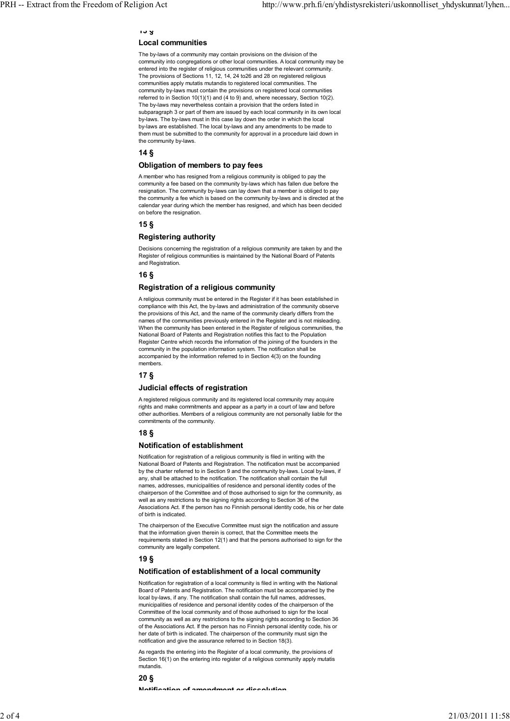# **13 §**

# **Local communities**

The by-laws of a community may contain provisions on the division of the community into congregations or other local communities. A local community may be entered into the register of religious communities under the relevant community. The provisions of Sections 11, 12, 14, 24 to26 and 28 on registered religious communities apply mutatis mutandis to registered local communities. The community by-laws must contain the provisions on registered local communities referred to in Section 10(1)(1) and (4 to 9) and, where necessary, Section 10(2). The by-laws may nevertheless contain a provision that the orders listed in subparagraph 3 or part of them are issued by each local community in its own local by-laws. The by-laws must in this case lay down the order in which the local by-laws are established. The local by-laws and any amendments to be made to them must be submitted to the community for approval in a procedure laid down in the community by-laws.

### **14 §**

#### **Obligation of members to pay fees**

A member who has resigned from a religious community is obliged to pay the community a fee based on the community by-laws which has fallen due before the resignation. The community by-laws can lay down that a member is obliged to pay the community a fee which is based on the community by-laws and is directed at the calendar year during which the member has resigned, and which has been decided on before the resignation.

## **15 §**

### **Registering authority**

Decisions concerning the registration of a religious community are taken by and the Register of religious communities is maintained by the National Board of Patents and Registration.

### **16 §**

#### **Registration of a religious community**

A religious community must be entered in the Register if it has been established in compliance with this Act, the by-laws and administration of the community observe the provisions of this Act, and the name of the community clearly differs from the names of the communities previously entered in the Register and is not misleading. When the community has been entered in the Register of religious communities, the National Board of Patents and Registration notifies this fact to the Population Register Centre which records the information of the joining of the founders in the community in the population information system. The notification shall be accompanied by the information referred to in Section 4(3) on the founding members.

### **17 §**

# **Judicial effects of registration**

A registered religious community and its registered local community may acquire rights and make commitments and appear as a party in a court of law and before other authorities. Members of a religious community are not personally liable for the commitments of the community.

### **18 §**

#### **Notification of establishment**

Notification for registration of a religious community is filed in writing with the National Board of Patents and Registration. The notification must be accompanied by the charter referred to in Section 9 and the community by-laws. Local by-laws, if any, shall be attached to the notification. The notification shall contain the full names, addresses, municipalities of residence and personal identity codes of the chairperson of the Committee and of those authorised to sign for the community, as well as any restrictions to the signing rights according to Section 36 of the Associations Act. If the person has no Finnish personal identity code, his or her date of birth is indicated.

The chairperson of the Executive Committee must sign the notification and assure that the information given therein is correct, that the Committee meets the requirements stated in Section 12(1) and that the persons authorised to sign for the community are legally competent.

### **19 §**

### **Notification of establishment of a local community**

Notification for registration of a local community is filed in writing with the National Board of Patents and Registration. The notification must be accompanied by the local by-laws, if any. The notification shall contain the full names, addresses municipalities of residence and personal identity codes of the chairperson of the Committee of the local community and of those authorised to sign for the local community as well as any restrictions to the signing rights according to Section 36 of the Associations Act. If the person has no Finnish personal identity code, his or her date of birth is indicated. The chairperson of the community must sign the notification and give the assurance referred to in Section 18(3).

As regards the entering into the Register of a local community, the provisions of Section 16(1) on the entering into register of a religious community apply mutatis mutandis.

#### **20 §**

**Notification of amendment or dissolution**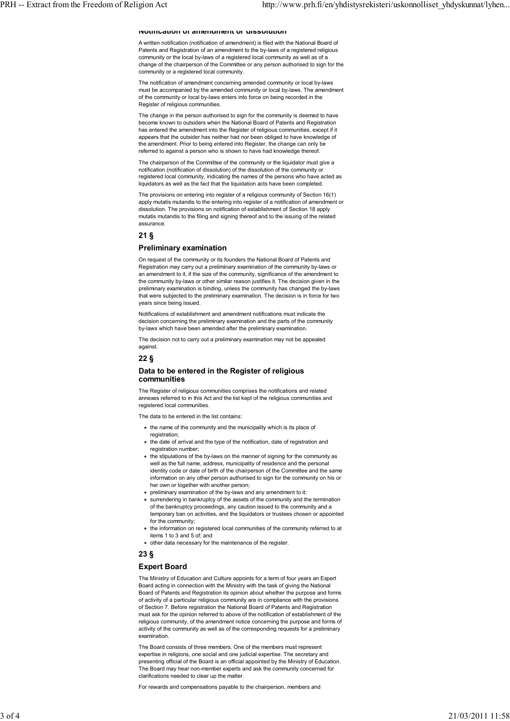#### **Notification of amendment or dissolution**

A written notification (notification of amendment) is filed with the National Board of Patents and Registration of an amendment to the by-laws of a registered religious community or the local by-laws of a registered local community as well as of a change of the chairperson of the Committee or any person authorised to sign for the community or a registered local community.

The notification of amendment concerning amended community or local by-laws must be accompanied by the amended community or local by-laws. The amendment of the community or local by-laws enters into force on being recorded in the Register of religious communities.

The change in the person authorised to sign for the community is deemed to have become known to outsiders when the National Board of Patents and Registration has entered the amendment into the Register of religious communities, except if it appears that the outsider has neither had nor been obliged to have knowledge of the amendment. Prior to being entered into Register, the change can only be referred to against a person who is shown to have had knowledge thereof.

The chairperson of the Committee of the community or the liquidator must give a notification (notification of dissolution) of the dissolution of the community or registered local community, indicating the names of the persons who have acted as liquidators as well as the fact that the liquidation acts have been completed.

The provisions on entering into register of a religious community of Section 16(1) apply mutatis mutandis to the entering into register of a notification of amendment or dissolution. The provisions on notification of establishment of Section 18 apply mutatis mutandis to the filing and signing thereof and to the issuing of the related assurance.

#### **21 §**

# **Preliminary examination**

On request of the community or its founders the National Board of Patents and Registration may carry out a preliminary examination of the community by-laws or an amendment to it, if the size of the community, significance of the amendment to the community by-laws or other similar reason justifies it. The decision given in the preliminary examination is binding, unless the community has changed the by-laws that were subjected to the preliminary examination. The decision is in force for two years since being issued.

Notifications of establishment and amendment notifications must indicate the decision concerning the preliminary examination and the parts of the community by-laws which have been amended after the preliminary examination.

The decision not to carry out a preliminary examination may not be appealed against.

**22 §**

#### **Data to be entered in the Register of religious communities**

The Register of religious communities comprises the notifications and related annexes referred to in this Act and the list kept of the religious communities and registered local communities.

The data to be entered in the list contains:

- the name of the community and the municipality which is its place of registration;
- the date of arrival and the type of the notification, date of registration and registration number;
- the stipulations of the by-laws on the manner of signing for the community as well as the full name, address, municipality of residence and the personal identity code or date of birth of the chairperson of the Committee and the same information on any other person authorised to sign for the community on his or her own or together with another person;
- preliminary examination of the by-laws and any amendment to it;
- surrendering in bankruptcy of the assets of the community and the termination of the bankruptcy proceedings, any caution issued to the community and a temporary ban on activities, and the liquidators or trustees chosen or appointed for the community;
- the information on registered local communities of the community referred to at items 1 to 3 and 5 of; and
- other data necessary for the maintenance of the register.
- **23 §**

# **Expert Board**

The Ministry of Education and Culture appoints for a term of four years an Expert Board acting in connection with the Ministry with the task of giving the National Board of Patents and Registration its opinion about whether the purpose and forms of activity of a particular religious community are in compliance with the provisions of Section 7. Before registration the National Board of Patents and Registration must ask for the opinion referred to above of the notification of establishment of the religious community, of the amendment notice concerning the purpose and forms of activity of the community as well as of the corresponding requests for a preliminary examination.

The Board consists of three members. One of the members must represent expertise in religions, one social and one judicial expertise. The secretary and presenting official of the Board is an official appointed by the Ministry of Education. The Board may hear non-member experts and ask the community concerned for clarifications needed to clear up the matter.

For rewards and compensations payable to the chairperson, members and